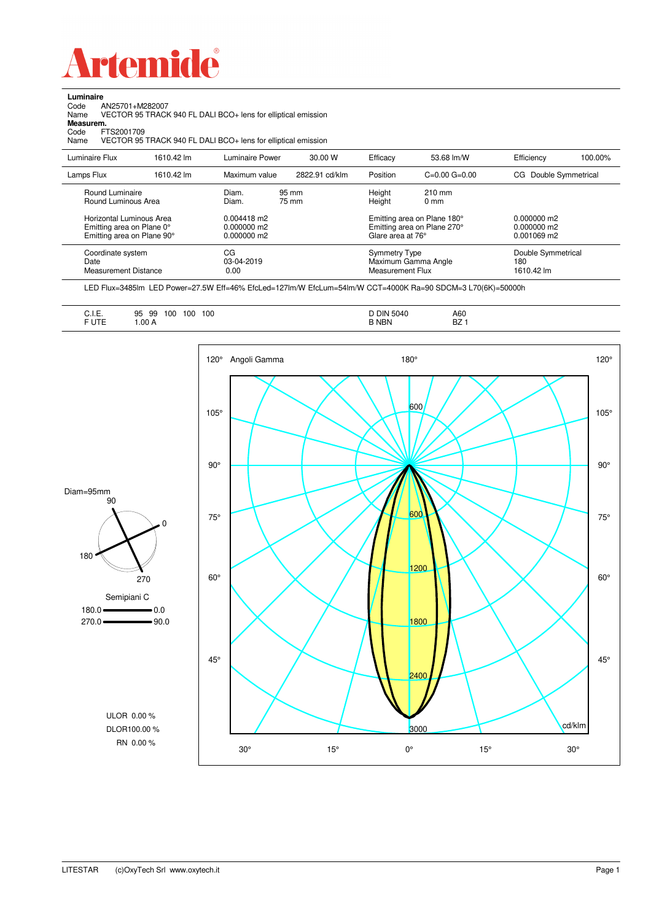

**Luminaire**

J.

| AN25701+M282007<br>Code<br>VECTOR 95 TRACK 940 FL DALI BCO+ lens for elliptical emission<br>Name<br>Measurem.<br>Code<br>FTS2001709<br>VECTOR 95 TRACK 940 FL DALI BCO+ lens for elliptical emission<br>Name |            |                                             |                |                                                                 |                                                                                 |                                         |                                           |  |
|--------------------------------------------------------------------------------------------------------------------------------------------------------------------------------------------------------------|------------|---------------------------------------------|----------------|-----------------------------------------------------------------|---------------------------------------------------------------------------------|-----------------------------------------|-------------------------------------------|--|
| Luminaire Flux                                                                                                                                                                                               | 1610.42 lm | Luminaire Power                             | 30.00 W        | Efficacy                                                        | 53.68 lm/W                                                                      | Efficiency                              | 100.00%                                   |  |
| Lamps Flux                                                                                                                                                                                                   | 1610.42 lm | Maximum value                               | 2822.91 cd/klm | Position                                                        | $C=0.00$ $G=0.00$                                                               | CG Double Symmetrical                   |                                           |  |
| Round Luminaire<br>Round Luminous Area                                                                                                                                                                       |            | Diam.<br>Diam.                              | 95 mm<br>75 mm |                                                                 | Height<br>$210 \text{ mm}$<br>Height<br>$0 \text{ mm}$                          |                                         |                                           |  |
| Horizontal Luminous Area<br>Emitting area on Plane 0°<br>Emitting area on Plane 90°                                                                                                                          |            | $0.004418$ m2<br>0.000000 m2<br>0.000000 m2 |                |                                                                 | Emitting area on Plane 180°<br>Emitting area on Plane 270°<br>Glare area at 76° |                                         | 0.000000 m2<br>0.000000 m2<br>0.001069 m2 |  |
| Coordinate system<br>Date<br>Measurement Distance                                                                                                                                                            |            | СG<br>03-04-2019<br>0.00                    |                | <b>Symmetry Type</b><br>Maximum Gamma Angle<br>Measurement Flux |                                                                                 | Double Symmetrical<br>180<br>1610.42 lm |                                           |  |

LED Flux=3485lm LED Power=27.5W Eff=46% EfcLed=127lm/W EfcLum=54lm/W CCT=4000K Ra=90 SDCM=3 L70(6K)=50000h

| <b>DIN 5040</b><br>A60<br>100<br>100<br>$ -$<br><b>NBN</b><br>57.<br>DZ. | QF<br>100<br>aa.<br>ົບ<br>ູບປ<br>.00A |
|--------------------------------------------------------------------------|---------------------------------------|
|--------------------------------------------------------------------------|---------------------------------------|